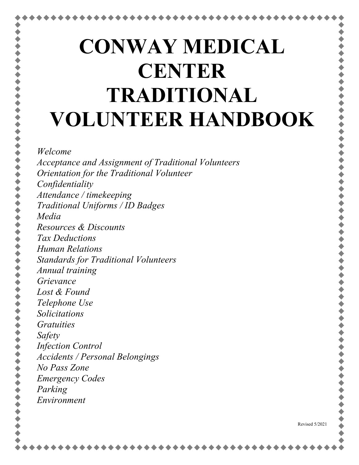# **CONWAY MEDICAL CENTER TRADITIONAL VOLUNTEER HANDBOOK**

#### *Welcome*

*Acceptance and Assignment of Traditional Volunteers Orientation for the Traditional Volunteer Confidentiality Attendance / timekeeping Traditional Uniforms / ID Badges Media Resources & Discounts Tax Deductions Human Relations Standards for Traditional Volunteers Annual training Grievance Lost & Found Telephone Use Solicitations Gratuities Safety Infection Control Accidents / Personal Belongings No Pass Zone Emergency Codes Parking Environment*

Revised 5/2021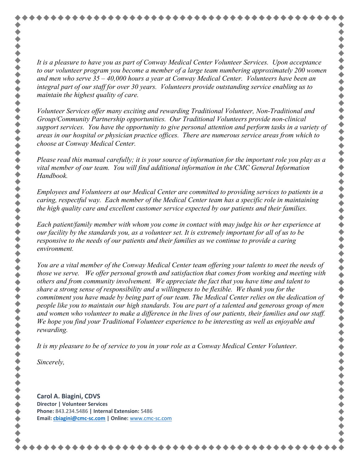*It is a pleasure to have you as part of Conway Medical Center Volunteer Services. Upon acceptance to our volunteer program you become a member of a large team numbering approximately 200 women and men who serve 35 – 40,000 hours a year at Conway Medical Center. Volunteers have been an integral part of our staff for over 30 years. Volunteers provide outstanding service enabling us to maintain the highest quality of care.*

*Volunteer Services offer many exciting and rewarding Traditional Volunteer, Non-Traditional and Group/Community Partnership opportunities. Our Traditional Volunteers provide non-clinical support services. You have the opportunity to give personal attention and perform tasks in a variety of areas in our hospital or physician practice offices. There are numerous service areas from which to choose at Conway Medical Center.*

*Please read this manual carefully; it is your source of information for the important role you play as a vital member of our team. You will find additional information in the CMC General Information Handbook.*

*Employees and Volunteers at our Medical Center are committed to providing services to patients in a caring, respectful way. Each member of the Medical Center team has a specific role in maintaining the high quality care and excellent customer service expected by our patients and their families.*

*Each patient/family member with whom you come in contact with may judge his or her experience at our facility by the standards you, as a volunteer set. It is extremely important for all of us to be responsive to the needs of our patients and their families as we continue to provide a caring environment.* 

*You are a vital member of the Conway Medical Center team offering your talents to meet the needs of those we serve. We offer personal growth and satisfaction that comes from working and meeting with others and from community involvement. We appreciate the fact that you have time and talent to share a strong sense of responsibility and a willingness to be flexible. We thank you for the commitment you have made by being part of our team. The Medical Center relies on the dedication of people like you to maintain our high standards. You are part of a talented and generous group of men and women who volunteer to make a difference in the lives of our patients, their families and our staff. We hope you find your Traditional Volunteer experience to be interesting as well as enjoyable and rewarding.*

*It is my pleasure to be of service to you in your role as a Conway Medical Center Volunteer.*

*Sincerely,*

令令令

**Carol A. Biagini, CDVS Director | Volunteer Services Phone:** 843.234.5486 **| Internal Extension:** 5486 **Email: [cbiagini@cmc-sc.com](mailto:cbiagini@cmc-sc.com) | Online:** [www.cmc-sc.com](https://nam10.safelinks.protection.outlook.com/?url=http%3A%2F%2Fwww.cmc-sc.com%2F&data=02%7C01%7CCBiagini%40cmc-sc.com%7C5ea2ab463fdf4e53332a08d864883239%7C07b85ba10a494d4cb68970c3b870ff10%7C0%7C0%7C637369883398970155&sdata=R3C4F%2FcOyaj87e4kwDWGBt%2BrSa2IFUDOWsDT0e7RHMg%3D&reserved=0)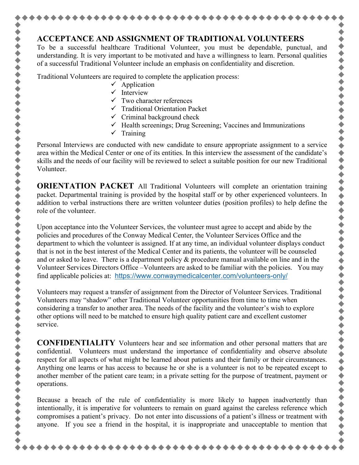#### **ACCEPTANCE AND ASSIGNMENT OF TRADITIONAL VOLUNTEERS**

To be a successful healthcare Traditional Volunteer, you must be dependable, punctual, and understanding. It is very important to be motivated and have a willingness to learn. Personal qualities of a successful Traditional Volunteer include an emphasis on confidentiality and discretion.

Traditional Volunteers are required to complete the application process:

- $\checkmark$  Application
- $\checkmark$  Interview
- $\checkmark$  Two character references
- $\checkmark$  Traditional Orientation Packet
- $\checkmark$  Criminal background check
- $\checkmark$  Health screenings; Drug Screening; Vaccines and Immunizations
- $\checkmark$  Training

,,,,,,,,,,,,,,

Personal Interviews are conducted with new candidate to ensure appropriate assignment to a service area within the Medical Center or one of its entities. In this interview the assessment of the candidate's skills and the needs of our facility will be reviewed to select a suitable position for our new Traditional Volunteer.

**ORIENTATION PACKET** All Traditional Volunteers will complete an orientation training packet. Departmental training is provided by the hospital staff or by other experienced volunteers. In addition to verbal instructions there are written volunteer duties (position profiles) to help define the role of the volunteer.

Upon acceptance into the Volunteer Services, the volunteer must agree to accept and abide by the policies and procedures of the Conway Medical Center, the Volunteer Services Office and the department to which the volunteer is assigned. If at any time, an individual volunteer displays conduct that is not in the best interest of the Medical Center and its patients, the volunteer will be counseled and or asked to leave. There is a department policy & procedure manual available on line and in the Volunteer Services Directors Office –Volunteers are asked to be familiar with the policies. You may find applicable policies at: <https://www.conwaymedicalcenter.com/volunteers-only/>

Volunteers may request a transfer of assignment from the Director of Volunteer Services. Traditional Volunteers may "shadow" other Traditional Volunteer opportunities from time to time when considering a transfer to another area. The needs of the facility and the volunteer's wish to explore other options will need to be matched to ensure high quality patient care and excellent customer service.

**CONFIDENTIALITY** Volunteers hear and see information and other personal matters that are confidential. Volunteers must understand the importance of confidentiality and observe absolute respect for all aspects of what might be learned about patients and their family or their circumstances. Anything one learns or has access to because he or she is a volunteer is not to be repeated except to another member of the patient care team; in a private setting for the purpose of treatment, payment or operations.

Because a breach of the rule of confidentiality is more likely to happen inadvertently than intentionally, it is imperative for volunteers to remain on guard against the careless reference which compromises a patient's privacy. Do not enter into discussions of a patient's illness or treatment with anyone. If you see a friend in the hospital, it is inappropriate and unacceptable to mention that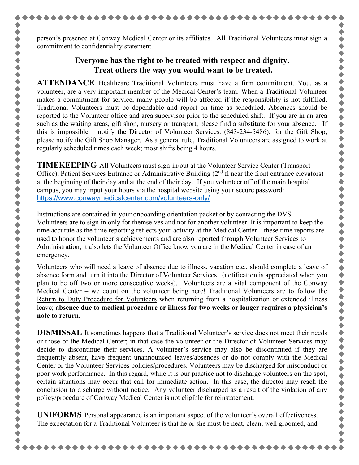person's presence at Conway Medical Center or its affiliates. All Traditional Volunteers must sign a commitment to confidentiality statement.

## **Everyone has the right to be treated with respect and dignity. Treat others the way you would want to be treated.**

**ATTENDANCE** Healthcare Traditional Volunteers must have a firm commitment. You, as a volunteer, are a very important member of the Medical Center's team. When a Traditional Volunteer makes a commitment for service, many people will be affected if the responsibility is not fulfilled. Traditional Volunteers must be dependable and report on time as scheduled. Absences should be reported to the Volunteer office and area supervisor prior to the scheduled shift. If you are in an area such as the waiting areas, gift shop, nursery or transport, please find a substitute for your absence. If this is impossible – notify the Director of Volunteer Services. (843-234-5486); for the Gift Shop, please notify the Gift Shop Manager. As a general rule, Traditional Volunteers are assigned to work at regularly scheduled times each week; most shifts being 4 hours.

**TIMEKEEPING** All Volunteers must sign-in/out at the Volunteer Service Center (Transport Office), Patient Services Entrance or Administrative Building (2<sup>nd</sup> fl near the front entrance elevators) at the beginning of their day and at the end of their day. If you volunteer off of the main hospital campus, you may input your hours via the hospital website using your secure password: <https://www.conwaymedicalcenter.com/volunteers-only/>

Instructions are contained in your onboarding orientation packet or by contacting the DVS. Volunteers are to sign in only for themselves and not for another volunteer. It is important to keep the time accurate as the time reporting reflects your activity at the Medical Center – these time reports are used to honor the volunteer's achievements and are also reported through Volunteer Services to Administration, it also lets the Volunteer Office know you are in the Medical Center in case of an emergency.

Volunteers who will need a leave of absence due to illness, vacation etc., should complete a leave of absence form and turn it into the Director of Volunteer Services. (notification is appreciated when you plan to be off two or more consecutive weeks). Volunteers are a vital component of the Conway Medical Center – we count on the volunteer being here! Traditional Volunteers are to follow the Return to Duty Procedure for Volunteers when returning from a hospitalization or extended illness leave; **absence due to medical procedure or illness for two weeks or longer requires a physician's note to return.**

**DISMISSAL** It sometimes happens that a Traditional Volunteer's service does not meet their needs or those of the Medical Center; in that case the volunteer or the Director of Volunteer Services may decide to discontinue their services. A volunteer's service may also be discontinued if they are frequently absent, have frequent unannounced leaves/absences or do not comply with the Medical Center or the Volunteer Services policies/procedures. Volunteers may be discharged for misconduct or poor work performance. In this regard, while it is our practice not to discharge volunteers on the spot, certain situations may occur that call for immediate action. In this case, the director may reach the conclusion to discharge without notice. Any volunteer discharged as a result of the violation of any policy/procedure of Conway Medical Center is not eligible for reinstatement.

**UNIFORMS** Personal appearance is an important aspect of the volunteer's overall effectiveness. The expectation for a Traditional Volunteer is that he or she must be neat, clean, well groomed, and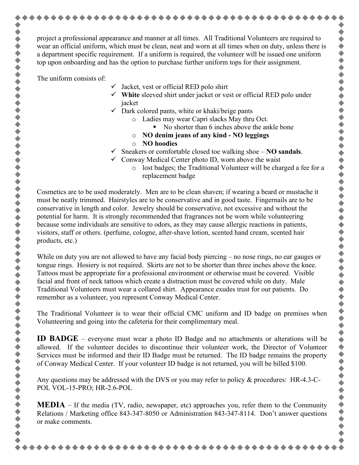project a professional appearance and manner at all times. All Traditional Volunteers are required to wear an official uniform, which must be clean, neat and worn at all times when on duty, unless there is a department specific requirement. If a uniform is required, the volunteer will be issued one uniform top upon onboarding and has the option to purchase further uniform tops for their assignment.

The uniform consists of:

- $\checkmark$  Jacket, vest or official RED polo shirt
- **White** sleeved shirt under jacket or vest or official RED polo under jacket
- $\checkmark$  Dark colored pants, white or khaki/beige pants
	- o Ladies may wear Capri slacks May thru Oct.
		- No shorter than 6 inches above the ankle bone
	- o **NO denim jeans of any kind - NO leggings**
	- o **NO hoodies**
- $\checkmark$  Sneakers or comfortable closed toe walking shoe  $\checkmark$  **NO** sandals.
- $\checkmark$  Conway Medical Center photo ID, worn above the waist
	- o lost badges; the Traditional Volunteer will be charged a fee for a replacement badge

Cosmetics are to be used moderately. Men are to be clean shaven; if wearing a beard or mustache it must be neatly trimmed. Hairstyles are to be conservative and in good taste. Fingernails are to be conservative in length and color. Jewelry should be conservative, not excessive and without the potential for harm. It is strongly recommended that fragrances not be worn while volunteering because some individuals are sensitive to odors, as they may cause allergic reactions in patients, visitors, staff or others. (perfume, cologne, after-shave lotion, scented hand cream, scented hair products, etc.)

While on duty you are not allowed to have any facial body piercing – no nose rings, no ear gauges or tongue rings. Hosiery is not required. Skirts are not to be shorter than three inches above the knee. Tattoos must be appropriate for a professional environment or otherwise must be covered. Visible facial and front of neck tattoos which create a distraction must be covered while on duty. Male Traditional Volunteers must wear a collared shirt. Appearance exudes trust for our patients. Do remember as a volunteer, you represent Conway Medical Center.

The Traditional Volunteer is to wear their official CMC uniform and ID badge on premises when Volunteering and going into the cafeteria for their complimentary meal.

**ID BADGE** – everyone must wear a photo ID Badge and no attachments or alterations will be allowed. If the volunteer decides to discontinue their volunteer work, the Director of Volunteer Services must be informed and their ID Badge must be returned. The ID badge remains the property of Conway Medical Center. If your volunteer ID badge is not returned, you will be billed \$100.

Any questions may be addressed with the DVS or you may refer to policy & procedures: HR-4.3-C-POL VOL-15-PRO; HR-2.6-POL

**MEDIA** – If the media (TV, radio, newspaper, etc) approaches you, refer them to the Community Relations / Marketing office 843-347-8050 or Administration 843-347-8114. Don't answer questions or make comments.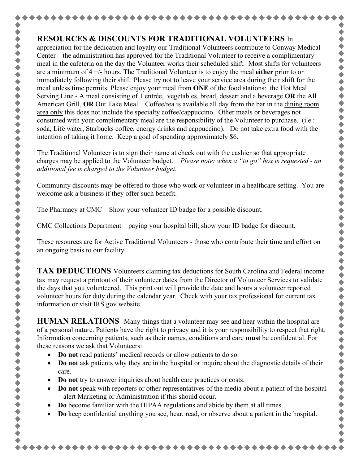## **RESOURCES & DISCOUNTS FOR TRADITIONAL VOLUNTEERS** In

◆◆◆◆◆◆◆

+ + + + + + +

令令令

 $\blacklozenge$ 

appreciation for the dedication and loyalty our Traditional Volunteers contribute to Conway Medical Center – the administration has approved for the Traditional Volunteer to receive a complimentary meal in the cafeteria on the day the Volunteer works their scheduled shift. Most shifts for volunteers are a minimum of 4 +/- hours. The Traditional Volunteer is to enjoy the meal **either** prior to or immediately following their shift. Please try not to leave your service area during their shift for the meal unless time permits. Please enjoy your meal from **ONE** of the food stations: the Hot Meal Serving Line - A meal consisting of 1 entrée, vegetables, bread, dessert and a beverage **OR** the All American Grill, **OR** Out Take Meal. Coffee/tea is available all day from the bar in the dining room area only this does not include the specialty coffee/cappuccino. Other meals or beverages not consumed with your complimentary meal are the responsibility of the Volunteer to purchase. (i.e.: soda, Life water, Starbucks coffee, energy drinks and cappuccino). Do not take extra food with the intention of taking it home. Keep a goal of spending approximately \$6.

The Traditional Volunteer is to sign their name at check out with the cashier so that appropriate charges may be applied to the Volunteer budget. *Please note: when a "to go" box is requested - an additional fee is charged to the Volunteer budget.* 

Community discounts may be offered to those who work or volunteer in a healthcare setting. You are welcome ask a business if they offer such benefit.

The Pharmacy at CMC – Show your volunteer ID badge for a possible discount.

CMC Collections Department – paying your hospital bill; show your ID badge for discount.

These resources are for Active Traditional Volunteers - those who contribute their time and effort on an ongoing basis to our facility.

**TAX DEDUCTIONS** Volunteers claiming tax deductions for South Carolina and Federal income tax may request a printout of their volunteer dates from the Director of Volunteer Services to validate the days that you volunteered. This print out will provide the date and hours a volunteer reported volunteer hours for duty during the calendar year. Check with your tax professional for current tax information or visit IRS.gov website.

**HUMAN RELATIONS** Many things that a volunteer may see and hear within the hospital are of a personal nature. Patients have the right to privacy and it is your responsibility to respect that right. Information concerning patients, such as their names, conditions and care **must** be confidential. For these reasons we ask that Volunteers:

- **Do not** read patients' medical records or allow patients to do so.
- **Do not** ask patients why they are in the hospital or inquire about the diagnostic details of their care.
- **Do not** try to answer inquiries about health care practices or costs.
- **Do not** speak with reporters or other representatives of the media about a patient of the hospital – alert Marketing or Administration if this should occur.
- **Do** become familiar with the HIPAA regulations and abide by them at all times.
- **Do** keep confidential anything you see, hear, read, or observe about a patient in the hospital.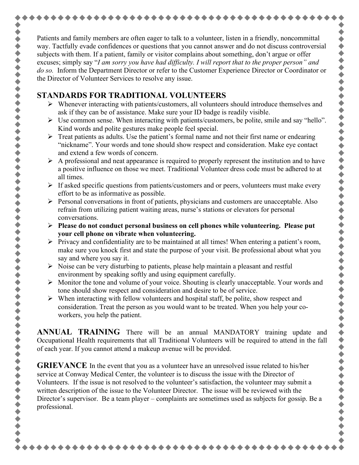Patients and family members are often eager to talk to a volunteer, listen in a friendly, noncommittal way. Tactfully evade confidences or questions that you cannot answer and do not discuss controversial subjects with them. If a patient, family or visitor complains about something, don't argue or offer excuses; simply say "*I am sorry you have had difficulty. I will report that to the proper person" and do so.* Inform the Department Director or refer to the Customer Experience Director or Coordinator or the Director of Volunteer Services to resolve any issue.

#### **STANDARDS FOR TRADITIONAL VOLUNTEERS**

- $\triangleright$  Whenever interacting with patients/customers, all volunteers should introduce themselves and ask if they can be of assistance. Make sure your ID badge is readily visible.
- $\triangleright$  Use common sense. When interacting with patients/customers, be polite, smile and say "hello". Kind words and polite gestures make people feel special.
- $\triangleright$  Treat patients as adults. Use the patient's formal name and not their first name or endearing "nickname". Your words and tone should show respect and consideration. Make eye contact and extend a few words of concern.
- $\triangleright$  A professional and neat appearance is required to properly represent the institution and to have a positive influence on those we meet. Traditional Volunteer dress code must be adhered to at all times.
- $\triangleright$  If asked specific questions from patients/customers and or peers, volunteers must make every effort to be as informative as possible.
- $\triangleright$  Personal conversations in front of patients, physicians and customers are unacceptable. Also refrain from utilizing patient waiting areas, nurse's stations or elevators for personal conversations.
- **Please do not conduct personal business on cell phones while volunteering. Please put your cell phone on vibrate when volunteering.**
- $\triangleright$  Privacy and confidentiality are to be maintained at all times! When entering a patient's room, make sure you knock first and state the purpose of your visit. Be professional about what you say and where you say it.
- $\triangleright$  Noise can be very disturbing to patients, please help maintain a pleasant and restful environment by speaking softly and using equipment carefully.
- $\triangleright$  Monitor the tone and volume of your voice. Shouting is clearly unacceptable. Your words and tone should show respect and consideration and desire to be of service.
- $\triangleright$  When interacting with fellow volunteers and hospital staff, be polite, show respect and consideration. Treat the person as you would want to be treated. When you help your coworkers, you help the patient.

**ANNUAL TRAINING** There will be an annual MANDATORY training update and Occupational Health requirements that all Traditional Volunteers will be required to attend in the fall of each year. If you cannot attend a makeup avenue will be provided.

**GRIEVANCE** In the event that you as a volunteer have an unresolved issue related to his/her service at Conway Medical Center, the volunteer is to discuss the issue with the Director of Volunteers. If the issue is not resolved to the volunteer's satisfaction, the volunteer may submit a written description of the issue to the Volunteer Director. The issue will be reviewed with the Director's supervisor. Be a team player – complaints are sometimes used as subjects for gossip. Be a professional.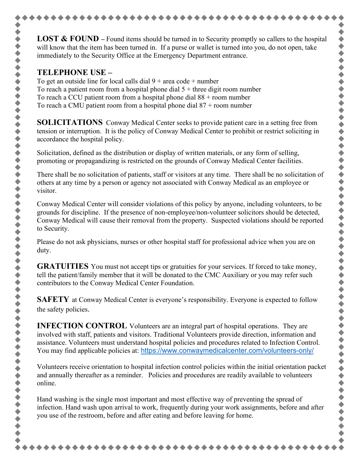**LOST & FOUND** – Found items should be turned in to Security promptly so callers to the hospital will know that the item has been turned in. If a purse or wallet is turned into you, do not open, take immediately to the Security Office at the Emergency Department entrance.

#### **TELEPHONE USE –**

To get an outside line for local calls dial  $9 + \text{area code} + \text{number}$ To reach a patient room from a hospital phone dial  $5 +$  three digit room number To reach a CCU patient room from a hospital phone dial  $88 +$  room number To reach a CMU patient room from a hospital phone dial  $87 +$  room number

**SOLICITATIONS** Conway Medical Center seeks to provide patient care in a setting free from tension or interruption. It is the policy of Conway Medical Center to prohibit or restrict soliciting in accordance the hospital policy.

Solicitation, defined as the distribution or display of written materials, or any form of selling, promoting or propagandizing is restricted on the grounds of Conway Medical Center facilities.

There shall be no solicitation of patients, staff or visitors at any time. There shall be no solicitation of others at any time by a person or agency not associated with Conway Medical as an employee or visitor.

Conway Medical Center will consider violations of this policy by anyone, including volunteers, to be grounds for discipline. If the presence of non-employee/non-volunteer solicitors should be detected, Conway Medical will cause their removal from the property. Suspected violations should be reported to Security.

Please do not ask physicians, nurses or other hospital staff for professional advice when you are on duty.

**GRATUITIES** You must not accept tips or gratuities for your services. If forced to take money, tell the patient/family member that it will be donated to the CMC Auxiliary or you may refer such contributors to the Conway Medical Center Foundation.

**SAFETY** at Conway Medical Center is everyone's responsibility. Everyone is expected to follow the safety policies.

**INFECTION CONTROL** Volunteers are an integral part of hospital operations. They are involved with staff, patients and visitors. Traditional Volunteers provide direction, information and assistance. Volunteers must understand hospital policies and procedures related to Infection Control. You may find applicable policies at: <https://www.conwaymedicalcenter.com/volunteers-only/>

Volunteers receive orientation to hospital infection control policies within the initial orientation packet and annually thereafter as a reminder. Policies and procedures are readily available to volunteers online.

Hand washing is the single most important and most effective way of preventing the spread of infection. Hand wash upon arrival to work, frequently during your work assignments, before and after you use of the restroom, before and after eating and before leaving for home.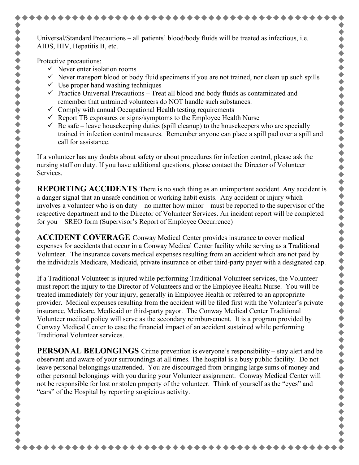Universal/Standard Precautions – all patients' blood/body fluids will be treated as infectious, i.e. AIDS, HIV, Hepatitis B, etc.

Protective precautions:

◆◆◆◆◆◆◆◆

- $\checkmark$  Never enter isolation rooms
- $\checkmark$  Never transport blood or body fluid specimens if you are not trained, nor clean up such spills
- $\checkmark$  Use proper hand washing techniques
- $\checkmark$  Practice Universal Precautions Treat all blood and body fluids as contaminated and remember that untrained volunteers do NOT handle such substances.
- $\checkmark$  Comply with annual Occupational Health testing requirements
- $\checkmark$  Report TB exposures or signs/symptoms to the Employee Health Nurse
- $\checkmark$  Be safe leave housekeeping duties (spill cleanup) to the housekeepers who are specially trained in infection control measures. Remember anyone can place a spill pad over a spill and call for assistance.

If a volunteer has any doubts about safety or about procedures for infection control, please ask the nursing staff on duty. If you have additional questions, please contact the Director of Volunteer Services.

**REPORTING ACCIDENTS** There is no such thing as an unimportant accident. Any accident is a danger signal that an unsafe condition or working habit exists. Any accident or injury which involves a volunteer who is on duty – no matter how minor – must be reported to the supervisor of the respective department and to the Director of Volunteer Services. An incident report will be completed for you – SREO form (Supervisor's Report of Employee Occurrence)

**ACCIDENT COVERAGE** Conway Medical Center provides insurance to cover medical expenses for accidents that occur in a Conway Medical Center facility while serving as a Traditional Volunteer. The insurance covers medical expenses resulting from an accident which are not paid by the individuals Medicare, Medicaid, private insurance or other third-party payer with a designated cap.

If a Traditional Volunteer is injured while performing Traditional Volunteer services, the Volunteer must report the injury to the Director of Volunteers and or the Employee Health Nurse. You will be treated immediately for your injury, generally in Employee Health or referred to an appropriate provider. Medical expenses resulting from the accident will be filed first with the Volunteer's private insurance, Medicare, Medicaid or third-party payor. The Conway Medical Center Traditional Volunteer medical policy will serve as the secondary reimbursement. It is a program provided by Conway Medical Center to ease the financial impact of an accident sustained while performing Traditional Volunteer services.

**PERSONAL BELONGINGS** Crime prevention is everyone's responsibility – stay alert and be observant and aware of your surroundings at all times. The hospital is a busy public facility. Do not leave personal belongings unattended. You are discouraged from bringing large sums of money and other personal belongings with you during your Volunteer assignment. Conway Medical Center will not be responsible for lost or stolen property of the volunteer. Think of yourself as the "eyes" and "ears" of the Hospital by reporting suspicious activity.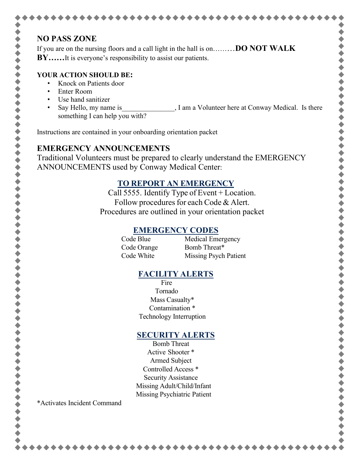## **NO PASS ZONE**

If you are on the nursing floors and a call light in the hall is on………**DO NOT WALK BY……**It is everyone's responsibility to assist our patients.

#### **YOUR ACTION SHOULD BE:**

- Knock on Patients door
- Enter Room
- Use hand sanitizer
- Say Hello, my name is  $\qquad \qquad$ , I am a Volunteer here at Conway Medical. Is there something I can help you with?

Instructions are contained in your onboarding orientation packet

#### **EMERGENCY ANNOUNCEMENTS**

Traditional Volunteers must be prepared to clearly understand the EMERGENCY ANNOUNCEMENTS used by Conway Medical Center:

## **TO REPORT AN EMERGENCY**

Call 5555. Identify Type of Event + Location. Follow procedures for each Code & Alert. Procedures are outlined in your orientation packet

## **EMERGENCY CODES**

Code Blue Medical Emergency Code Orange Bomb Threat\* Code White Missing Psych Patient \* \* \* \* \* \* \* \* \* \* \* \* \* \* \*

## **FACILITY ALERTS**

Fire Tornado Mass Casualty\* Contamination \* Technology Interruption

## **SECURITY ALERTS**

Bomb Threat Active Shooter \* Armed Subject Controlled Access \* Security Assistance Missing Adult/Child/Infant Missing Psychiatric Patient

\*Activates Incident Command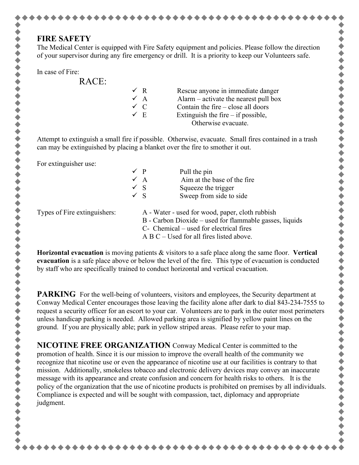#### **FIRE SAFETY**

The Medical Center is equipped with Fire Safety equipment and policies. Please follow the direction of your supervisor during any fire emergency or drill. It is a priority to keep our Volunteers safe.

RACE:

| NI WE. |                |                                         |
|--------|----------------|-----------------------------------------|
|        | $\sqrt{R}$     | Rescue anyone in immediate danger       |
|        | $\checkmark$ A | Alarm $-$ activate the nearest pull box |
|        | $\checkmark$ C | Contain the fire $-$ close all doors    |
|        | $\sqrt{E}$     | Extinguish the fire $-$ if possible,    |
|        |                | Otherwise evacuate.                     |
|        |                |                                         |

Attempt to extinguish a small fire if possible. Otherwise, evacuate. Small fires contained in a trash can may be extinguished by placing a blanket over the fire to smother it out.

For extinguisher use:

|                              | $\checkmark$ P                                          |  | Pull the pin                                    |
|------------------------------|---------------------------------------------------------|--|-------------------------------------------------|
|                              | $\checkmark$ A                                          |  | Aim at the base of the fire                     |
|                              | $\checkmark$ S                                          |  | Squeeze the trigger                             |
|                              | $\sqrt{S}$                                              |  | Sweep from side to side                         |
| Types of Fire extinguishers: |                                                         |  | A - Water - used for wood, paper, cloth rubbish |
|                              | B - Carbon Dioxide – used for flammable gasses, liquids |  |                                                 |
|                              | C- Chemical – used for electrical fires                 |  |                                                 |
|                              | $A B C -$ Used for all fires listed above.              |  |                                                 |

**Horizontal evacuation** is moving patients & visitors to a safe place along the same floor. **Vertical evacuation** is a safe place above or below the level of the fire. This type of evacuation is conducted by staff who are specifically trained to conduct horizontal and vertical evacuation.

**PARKING** For the well-being of volunteers, visitors and employees, the Security department at Conway Medical Center encourages those leaving the facility alone after dark to dial 843-234-7555 to request a security officer for an escort to your car. Volunteers are to park in the outer most perimeters unless handicap parking is needed. Allowed parking area is signified by yellow paint lines on the ground. If you are physically able; park in yellow striped areas. Please refer to your map.

**NICOTINE FREE ORGANIZATION** Conway Medical Center is committed to the promotion of health. Since it is our mission to improve the overall health of the community we recognize that nicotine use or even the appearance of nicotine use at our facilities is contrary to that mission. Additionally, smokeless tobacco and electronic delivery devices may convey an inaccurate message with its appearance and create confusion and concern for health risks to others. It is the policy of the organization that the use of nicotine products is prohibited on premises by all individuals. Compliance is expected and will be sought with compassion, tact, diplomacy and appropriate judgment.